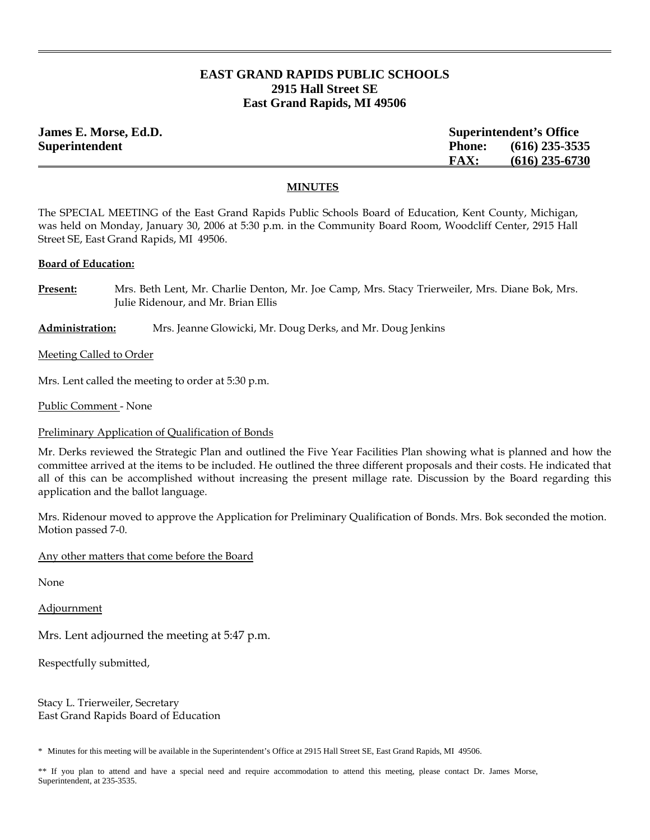# **EAST GRAND RAPIDS PUBLIC SCHOOLS 2915 Hall Street SE East Grand Rapids, MI 49506**

| James E. Morse, Ed.D. | <b>Superintendent's Office</b> |                  |
|-----------------------|--------------------------------|------------------|
| Superintendent        | <b>Phone:</b>                  | $(616)$ 235-3535 |
|                       | <b>FAX:</b>                    | $(616)$ 235-6730 |

### **MINUTES**

The SPECIAL MEETING of the East Grand Rapids Public Schools Board of Education, Kent County, Michigan, was held on Monday, January 30, 2006 at 5:30 p.m. in the Community Board Room, Woodcliff Center, 2915 Hall Street SE, East Grand Rapids, MI 49506.

### **Board of Education:**

**Present:** Mrs. Beth Lent, Mr. Charlie Denton, Mr. Joe Camp, Mrs. Stacy Trierweiler, Mrs. Diane Bok, Mrs. Julie Ridenour, and Mr. Brian Ellis

## **Administration:** Mrs. Jeanne Glowicki, Mr. Doug Derks, and Mr. Doug Jenkins

Meeting Called to Order

Mrs. Lent called the meeting to order at 5:30 p.m.

Public Comment - None

## Preliminary Application of Qualification of Bonds

Mr. Derks reviewed the Strategic Plan and outlined the Five Year Facilities Plan showing what is planned and how the committee arrived at the items to be included. He outlined the three different proposals and their costs. He indicated that all of this can be accomplished without increasing the present millage rate. Discussion by the Board regarding this application and the ballot language.

Mrs. Ridenour moved to approve the Application for Preliminary Qualification of Bonds. Mrs. Bok seconded the motion. Motion passed 7-0.

Any other matters that come before the Board

None

Adjournment

Mrs. Lent adjourned the meeting at 5:47 p.m.

Respectfully submitted,

Stacy L. Trierweiler, Secretary East Grand Rapids Board of Education

\* Minutes for this meeting will be available in the Superintendent's Office at 2915 Hall Street SE, East Grand Rapids, MI 49506.

\*\* If you plan to attend and have a special need and require accommodation to attend this meeting, please contact Dr. James Morse, Superintendent, at 235-3535.